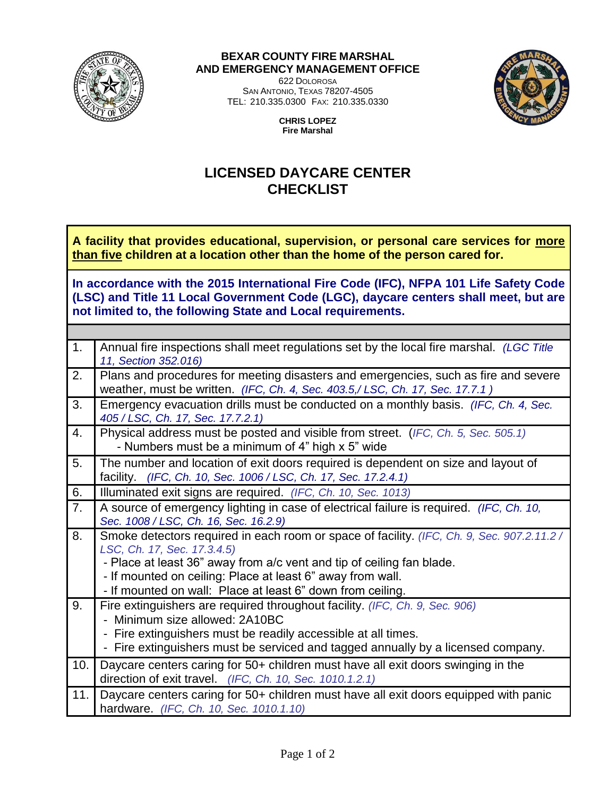

## **BEXAR COUNTY FIRE MARSHAL AND EMERGENCY MANAGEMENT OFFICE**

622 DOLOROSA SAN ANTONIO, TEXAS 78207-4505 TEL: 210.335.0300 FAX: 210.335.0330



**CHRIS LOPEZ Fire Marshal**

## **LICENSED DAYCARE CENTER CHECKLIST**

**A facility that provides educational, supervision, or personal care services for more than five children at a location other than the home of the person cared for.** 

**In accordance with the 2015 International Fire Code (IFC), NFPA 101 Life Safety Code (LSC) and Title 11 Local Government Code (LGC), daycare centers shall meet, but are not limited to, the following State and Local requirements.** 

| 1.  | Annual fire inspections shall meet regulations set by the local fire marshal. (LGC Title<br>11, Section 352.016)                                                    |
|-----|---------------------------------------------------------------------------------------------------------------------------------------------------------------------|
| 2.  | Plans and procedures for meeting disasters and emergencies, such as fire and severe<br>weather, must be written. (IFC, Ch. 4, Sec. 403.5,/LSC, Ch. 17, Sec. 17.7.1) |
| 3.  | Emergency evacuation drills must be conducted on a monthly basis. (IFC, Ch. 4, Sec.<br>405 / LSC, Ch. 17, Sec. 17.7.2.1)                                            |
| 4.  | Physical address must be posted and visible from street. (IFC, Ch. 5, Sec. 505.1)<br>- Numbers must be a minimum of 4" high x 5" wide                               |
| 5.  | The number and location of exit doors required is dependent on size and layout of<br>facility. (IFC, Ch. 10, Sec. 1006 / LSC, Ch. 17, Sec. 17.2.4.1)                |
| 6.  | Illuminated exit signs are required. (IFC, Ch. 10, Sec. 1013)                                                                                                       |
| 7.  | A source of emergency lighting in case of electrical failure is required. (IFC, Ch. 10,<br>Sec. 1008 / LSC, Ch. 16, Sec. 16.2.9)                                    |
| 8.  | Smoke detectors required in each room or space of facility. (IFC, Ch. 9, Sec. 907.2.11.2 /<br>LSC, Ch. 17, Sec. 17.3.4.5)                                           |
|     | - Place at least 36" away from a/c vent and tip of ceiling fan blade.                                                                                               |
|     | - If mounted on ceiling: Place at least 6" away from wall.                                                                                                          |
|     | - If mounted on wall: Place at least 6" down from ceiling.                                                                                                          |
| 9.  | Fire extinguishers are required throughout facility. (IFC, Ch. 9, Sec. 906)                                                                                         |
|     | - Minimum size allowed: 2A10BC                                                                                                                                      |
|     | - Fire extinguishers must be readily accessible at all times.                                                                                                       |
|     | - Fire extinguishers must be serviced and tagged annually by a licensed company.                                                                                    |
| 10. | Daycare centers caring for 50+ children must have all exit doors swinging in the                                                                                    |
|     | direction of exit travel. (IFC, Ch. 10, Sec. 1010.1.2.1)                                                                                                            |
| 11. | Daycare centers caring for 50+ children must have all exit doors equipped with panic<br>hardware. (IFC, Ch. 10, Sec. 1010.1.10)                                     |
|     |                                                                                                                                                                     |